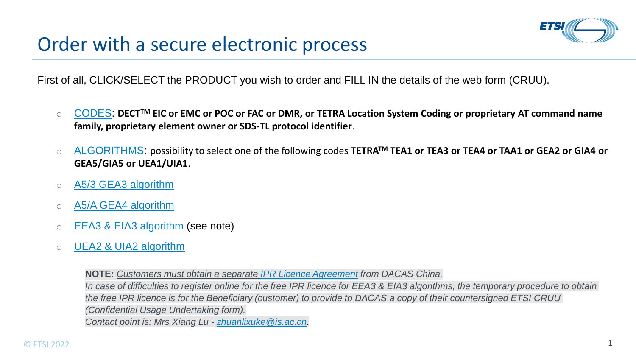

First of all, CLICK/SELECT the PRODUCT you wish to order and FILL IN the details of the web form (CRUU).

- [CODES:](https://etsisign.eu1.echosign.com/public/esignWidget?wid=CBFCIBAA3AAABLblqZhC_QL4F2ZoS6uHO51SmN2svcPXif7-urLIJUbF-Yx8mKIbjyB5ynbQa_WHCBSzcTOY*) DECT<sup>TM</sup> EIC or EMC or POC or FAC or DMR, or TETRA Location System Coding or proprietary AT command name **family, proprietary element owner or SDS-TL protocol identifier**.
- [ALGORITHMS](https://etsisign.eu1.echosign.com/public/esignWidget?wid=CBFCIBAA3AAABLblqZhD5A_GsEGMRfe17E8BF-wLkWMqE4iZxqc20HHO6caN8M5dVkG_q4jaDTs2vCZ5uRhM*): possibility to select one of the following codes TETRA<sup>TM</sup> TEA1 or TEA3 or TEA4 or TAA1 or GEA2 or GIA4 or **GEA5/GIA5 or UEA1/UIA1**.
- o [A5/3 GEA3 algorithm](https://etsisign.eu1.echosign.com/public/esignWidget?wid=CBFCIBAA3AAABLblqZhCSLC29Rrtl8OwuywTTiaVJTOwOy__I9vDnsYeZCOiIb3IqzvMhFBKcu5-dgf_fYp0*)
- o [A5/A GEA4 algorithm](https://etsisign.eu1.echosign.com/public/esignWidget?wid=CBFCIBAA3AAABLblqZhD0U7ILY31EPmVBBuldC_rdOPXZS_om-mnKnNAfiZp7B6NEI2vvBzlpd7jRwZHvlig*)
- $\circ$  **[EEA3 & EIA3 algorithm](https://etsisign.eu1.echosign.com/public/esignWidget?wid=CBFCIBAA3AAABLblqZhAKtZVWScclhqWTgEB30XL96ygwyT7uGSLs803nLe2SkjvOGmYLmYTmWzSzonWTqVM*) (see note)**
- o [UEA2 & UIA2 algorithm](https://etsisign.eu1.echosign.com/public/esignWidget?wid=CBFCIBAA3AAABLblqZhAV_jqRMw54zF56B2ErPL5UDI9vxDB6nDZwxi2Hh9F94QFZjd2cofTyJCsSoSO3vxc*)

**NOTE:** *Customers must obtain a separate [IPR Licence Agreement](http://dacas.iie.cas.cn/zucsf/ZUCAgreement/index.html) from DACAS China. In case of difficulties to register online for the free IPR licence for EEA3 & EIA3 algorithms, the temporary procedure to obtain the free IPR licence is for the Beneficiary (customer) to provide to DACAS a copy of their countersigned ETSI CRUU (Confidential Usage Undertaking form). Contact point is: Mrs Xiang Lu - [zhuanlixuke@is.ac.cn](mailto:zhuanlixuke@is.ac.cn)*.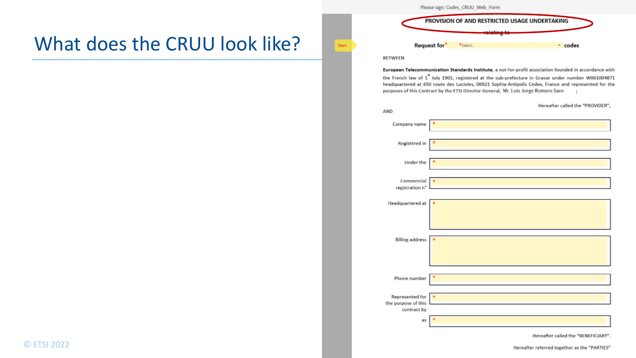## What does the CRUU look like?

Please sign: Codes\_CRUU\_Web\_Form



#### **BETWEEN**

**Start** 

European Telecommunication Standards Institute, a not-for-profit association founded in accordance with the French law of 1<sup>st</sup> July 1901, registered at the sub-prefecture in Grasse under number W061004871 headquartered at 650 route des Lucioles, 06921 Sophia-Antipolis Cedex, France and represented for the purposes of this Contract by the ETSI Director-General, Mr. Luis Jorge Romero Saro

| AND                                                   | Hereafter called the "PROVIDER";                                                                                                                                               |
|-------------------------------------------------------|--------------------------------------------------------------------------------------------------------------------------------------------------------------------------------|
| Company name                                          |                                                                                                                                                                                |
| Registered in                                         | and the state of the state of the state of the state of the state of the state of<br>the control of the control of the control of the control of the control of the control of |
| Under the                                             |                                                                                                                                                                                |
| Commercial<br>registration n°                         |                                                                                                                                                                                |
| Headquartered at                                      |                                                                                                                                                                                |
| <b>Billing address</b>                                |                                                                                                                                                                                |
| Phone number                                          |                                                                                                                                                                                |
| Represented for<br>the purpose of this<br>contract by |                                                                                                                                                                                |
| as                                                    |                                                                                                                                                                                |

Hereafter called the "BENEFICIARY".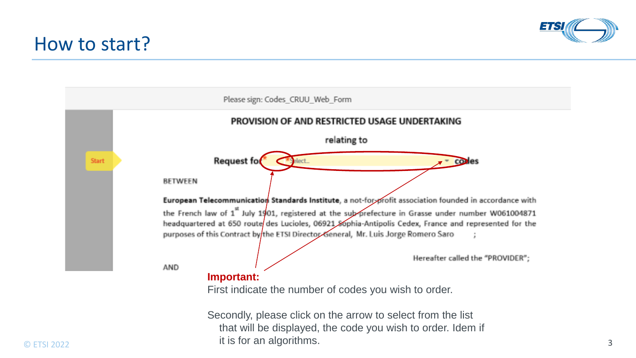## How to start?



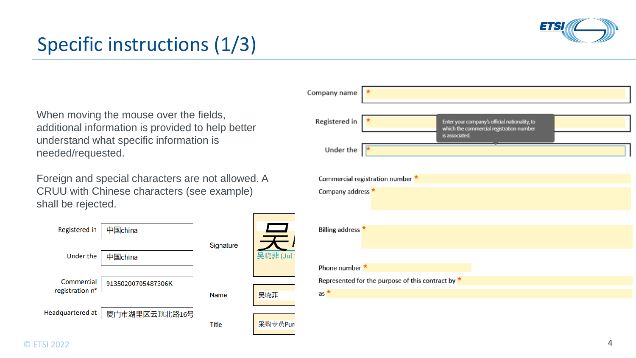

# Specific instructions (1/3)

When moving the mouse over the fields, additional information is provided to help better understand what specific information is needed/requested.

Foreign and special characters are not allowed. A CRUU with Chinese characters (see example) shall be rejected.

| Registered in                 | 中国china            |              |              |
|-------------------------------|--------------------|--------------|--------------|
| <b>Under the</b>              | 中国china            | Signature    | 吴晓菲<br>(Juli |
| Commercial<br>registration n° | 91350200705487306K | <b>Name</b>  | 吴晓菲          |
| Headquartered at              | 厦门市湖里区云顶北路16号      | <b>Title</b> | 采购专员Pur      |

| Company name                 |                                                                                                             |
|------------------------------|-------------------------------------------------------------------------------------------------------------|
| Registered in                | Enter your company's official nationality, to<br>which the commercial registration number<br>is associated. |
| Under the                    |                                                                                                             |
|                              | Commercial registration number *                                                                            |
| Company address *            |                                                                                                             |
|                              |                                                                                                             |
| Billing address <sup>*</sup> |                                                                                                             |
|                              |                                                                                                             |
| Phone number *               |                                                                                                             |
|                              | Represented for the purpose of this contract by $*$                                                         |
| $as \star$                   |                                                                                                             |
|                              |                                                                                                             |
|                              |                                                                                                             |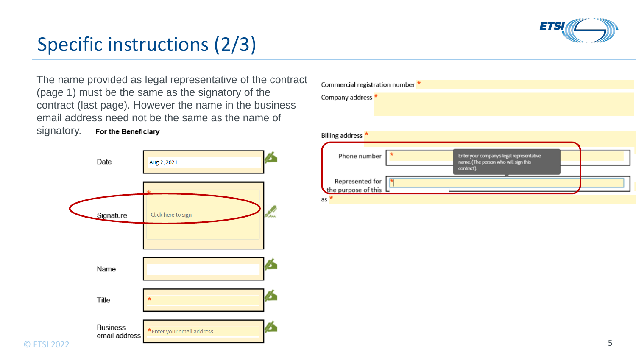

## Specific instructions (2/3)

The name provided as legal representative of the contract (page 1) must be the same as the signatory of the contract (last page). However the name in the business email address need not be the same as the name of

signatory.For the Beneficiary



| Commercial registration number *       |                                                                                                |  |
|----------------------------------------|------------------------------------------------------------------------------------------------|--|
| Company address *                      |                                                                                                |  |
| Billing address *                      |                                                                                                |  |
| Phone number                           | Enter your company's legal representative<br>name. (The person who will sign this<br>contract) |  |
| Represented for<br>the purpose of this |                                                                                                |  |
| as <b>x</b>                            |                                                                                                |  |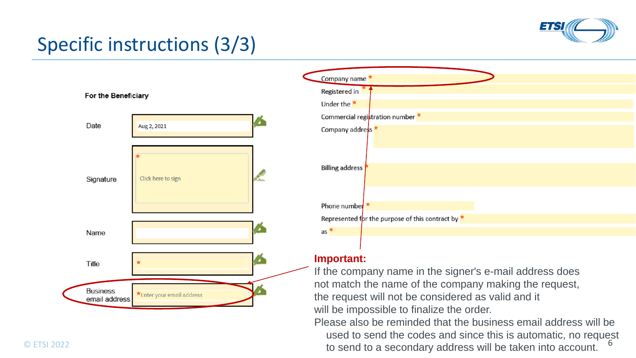

# Specific instructions (3/3)



© ETSI 2022 **6** ETSI 2022 **6** ETSI 2022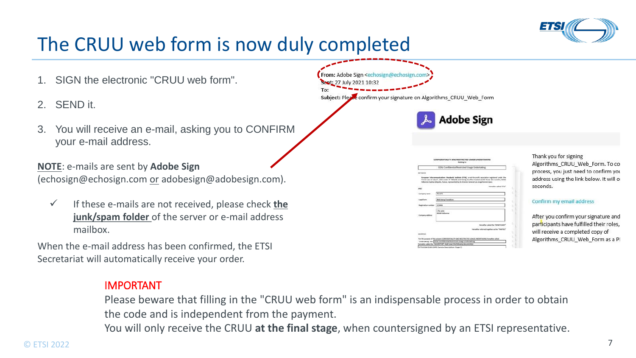

## The CRUU web form is now duly completed

- 1. SIGN the electronic "CRUU web form".
- 2. SEND it.
- 3. You will receive an e-mail, asking you to CONFIRM your e-mail address.

**NOTE**: e-mails are sent by **Adobe Sign**  (echosign@echosign.com or adobesign@adobesign.com).

✓ If these e-mails are not received, please check **the junk/spam folder** of the server or e-mail address mailbox.

When the e-mail address has been confirmed, the ETSI Secretariat will automatically receive your order.

#### IMPORTANT

Please beware that filling in the "CRUU web form" is an indispensable process in order to obtain the code and is independent from the payment.

You will only receive the CRUU **at the final stage**, when countersigned by an ETSI representative.

From: Adobe Sign <echosign@echosign.co Sent: 27 July 2021 10:32

Subject: Please confirm your signature on Algorithms CRUU Web Form



| <b>MCTARIN</b><br>European Telecommunications Mandardo Institute (ETM), a not-for-profit association registered under the<br>French Law of July 1", 1961 under Nº 7805/88 and heavy its office located at 450 licens dec Lucinies, 06560<br>Malborone Sophia Antiquilis, France, represented by its Director General Luis Jorge Romano Sans |                                                |
|---------------------------------------------------------------------------------------------------------------------------------------------------------------------------------------------------------------------------------------------------------------------------------------------------------------------------------------------|------------------------------------------------|
|                                                                                                                                                                                                                                                                                                                                             |                                                |
|                                                                                                                                                                                                                                                                                                                                             |                                                |
| ANC)                                                                                                                                                                                                                                                                                                                                        | wherealised "Effe"                             |
| Mould<br>Colligailla name                                                                                                                                                                                                                                                                                                                   |                                                |
| <b>Net being Fondation</b><br><b>Legisl Room</b>                                                                                                                                                                                                                                                                                            |                                                |
| 123456<br>agisiratius number                                                                                                                                                                                                                                                                                                                |                                                |
| L'Ite uerta<br><b>INSIGN Visitory of</b><br>Lompany address                                                                                                                                                                                                                                                                                 |                                                |
|                                                                                                                                                                                                                                                                                                                                             | Heiseller (afed the "BINEYCAN"                 |
|                                                                                                                                                                                                                                                                                                                                             | mentalize referred transition as the "NASTS'S" |
| weeran.ad                                                                                                                                                                                                                                                                                                                                   |                                                |

Thank you for signing Algorithms CRUU Web Form. To co process, you just need to confirm you address using the link below. It will or seconds.

#### Confirm my email address

After you confirm your signature and participants have fulfilled their roles, will receive a completed copy of Algorithms\_CRUU\_Web\_Form as a PI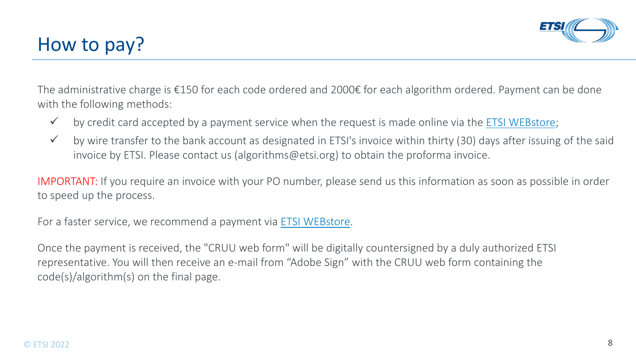

## How to pay?

The administrative charge is €150 for each code ordered and 2000€ for each algorithm ordered. Payment can be done with the following methods:

- $\checkmark$  by credit card accepted by a payment service when the request is made online via the [ETSI WEBstore;](http://webstore.etsi.org/ecommerce/Listarticle.asp?list=2)
- ✓ by wire transfer to the bank account as designated in ETSI's invoice within thirty (30) days after issuing of the said invoice by ETSI. Please contact us (algorithms@etsi.org) to obtain the proforma invoice.

IMPORTANT: If you require an invoice with your PO number, please send us this information as soon as possible in order to speed up the process.

For a faster service, we recommend a payment via [ETSI WEBstore.](http://webstore.etsi.org/ecommerce/Listarticle.asp?list=2)

Once the payment is received, the "CRUU web form" will be digitally countersigned by a duly authorized ETSI representative. You will then receive an e-mail from "Adobe Sign" with the CRUU web form containing the code(s)/algorithm(s) on the final page.